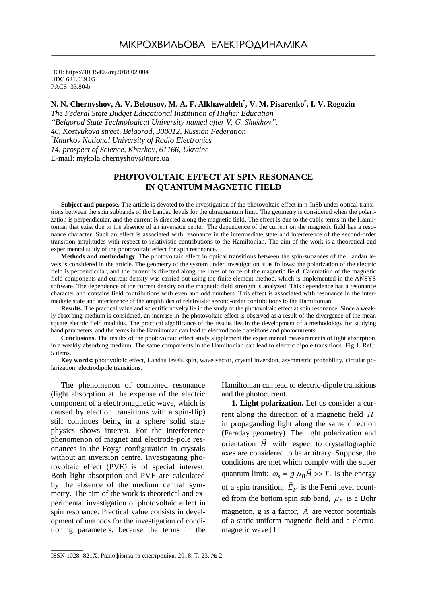DOI: https://10.15407/rej2018.02.004 UDC 621.039.05 PACS: 33.80-b

# **N. N. Chernyshov, A. V. Belousov, M. A. F. Alkhawaldeh\* , V. M. Pisarenko\* , I. V. Rogozin**

*The Federal State Budget Educational Institution of Higher Education "Belgorod State Technological University named after V. G. Shukhov". 46, Kostyukova street, Belgorod, 308012, Russian Federation \*Kharkov National University of Radio Electronics 14, prospect of Science, Kharkov, 61166, Ukraine* E-mail: [mykola.chernyshov@nure.ua](mailto:mykola.chernyshov@nure.ua)

## **PHOTOVOLTAIC EFFECT AT SPIN RESONANCE IN QUANTUM MAGNETIC FIELD**

**Subject and purpose.** The article is devoted to the investigation of the photovoltaic effect in n-InSb under optical transitions between the spin subbands of the Landau levels for the ultraquantum limit. The geometry is considered when the polarization is perpendicular, and the current is directed along the magnetic field. The effect is due to the cubic terms in the Hamiltonian that exist due to the absence of an inversion center. The dependence of the current on the magnetic field has a resonance character. Such an effect is associated with resonance in the intermediate state and interference of the second-order transition amplitudes with respect to relativistic contributions to the Hamiltonian. The aim of the work is a theoretical and experimental study of the photovoltaic effect for spin resonance.

**Methods and methodology.** The photovoltaic effect in optical transitions between the spin-subzones of the Landau levels is considered in the article. The geometry of the system under investigation is as follows: the polarization of the electric field is perpendicular, and the current is directed along the lines of force of the magnetic field. Calculation of the magnetic field components and current density was carried out using the finite element method, which is implemented in the ANSYS software. The dependence of the current density on the magnetic field strength is analyzed. This dependence has a resonance character and contains field contributions with even and odd numbers. This effect is associated with resonance in the intermediate state and interference of the amplitudes of relativistic second-order contributions to the Hamiltonian.

**Results.** The practical value and scientific novelty lie in the study of the photovoltaic effect at spin resonance. Since a weakly absorbing medium is considered, an increase in the photovoltaic effect is observed as a result of the divergence of the mean square electric field modulus. The practical significance of the results lies in the development of a methodology for studying band parameters, and the terms in the Hamiltonian can lead to electrodipole transitions and photocurrents.

**Conclusions.** The results of the photovoltaic effect study supplement the experimental measurements of light absorption in a weakly absorbing medium. The same components in the Hamiltonian can lead to electric dipole transitions. Fig 1. Ref.: 5 items.

**Key words:** photovoltaic effect, Landau levels spin, wave vector, crystal inversion, asymmetric probability, circular polarization, electrodipole transitions.

The phenomenon of combined resonance (light absorption at the expense of the electric component of a electromagnetic wave, which is caused by election transitions with a spin-flip) still continues being in a sphere solid state physics shows interest. For the interference phenomenon of magnet and electrode-pole resonances in the Foygt configuration in crystals without an inversion centre. Investigating photovoltaic effect (PVE) is of special interest. Both light absorption and PVE are calculated by the absence of the medium central symmetry. The aim of the work is theoretical and experimental investigation of photovoltaic effect in spin resonance. Practical value consists in development of methods for the investigation of conditioning parameters, because the terms in the Hamiltonian can lead to electric-dipole transitions and the photocurrent.

**1. Light polarization.** Let us consider a cur rent along the direction of a magnetic field *H* in propaganding light along the same direction (Faraday geometry). The light polarization and orientation *H* with respect to crystallographic axes are considered to be arbitrary. Suppose, the conditions are met which comply with the super quantum limit:  $\omega_s = |g| \mu_B \vec{H} >> T$ . Is the energy of a spin transition, *EF*  $\overline{a}$ is the Ferni level counted from the bottom spin sub band,  $\mu_B$  is a Bohr magneton, g is a factor, *A* are vector potentials  $\ddot{\phantom{0}}$ of a static uniform magnetic field and a electromagnetic wave [1]

 $\overline{\phantom{a}}$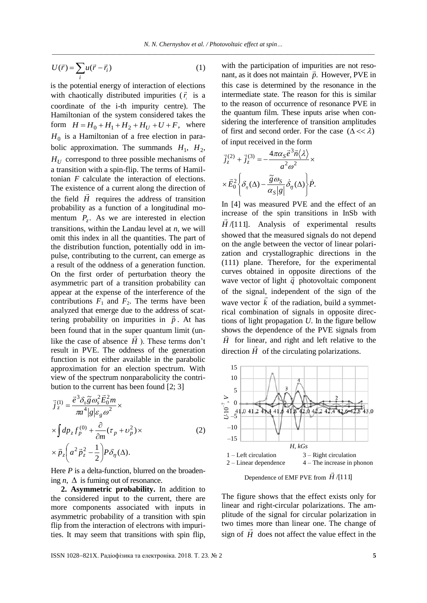$$
U(\vec{r}) = \sum_{i} u(\vec{r} - \vec{r}_i)
$$
 (1)

is the potential energy of interaction of elections with chaotically distributed impurities  $(\vec{r}_i)$  is a coordinate of the i-th impurity centre). The Hamiltonian of the system considered takes the form  $H = H_0 + H_1 + H_2 + H_U + U + F$ , where  $H_0$  is a Hamiltonian of a free election in parabolic approximation. The summands  $H_1$ ,  $H_2$ ,  $H_U$  correspond to three possible mechanisms of a transition with a spin-flip. The terms of Hamiltonian *F* calculate the interaction of elections. The existence of a current along the direction of the field  $H$  requires the address of transition probability as a function of a longitudinal momentum  $P_z$ . As we are interested in election transitions, within the Landau level at *n*, we will omit this index in all the quantities. The part of the distribution function, potentially odd in impulse, contributing to the current, can emerge as a result of the oddness of a generation function. On the first order of perturbation theory the asymmetric part of a transition probability can appear at the expense of the interference of the contributions  $F_1$  and  $F_2$ . The terms have been analyzed that emerge due to the address of scat tering probability on impurities in  $\vec{p}$ . At has been found that in the super quantum limit (unlike the case of absence  $H$ ). These terms don't result in PVE. The oddness of the generation function is not either available in the parabolic approximation for an election spectrum. With view of the spectrum nonparabolicity the contribution to the current has been found [2; 3]

$$
\vec{j}_{z}^{(1)} = \frac{\vec{e}^{3} \delta_{0} \vec{g} \omega_{s}^{2} \vec{E}_{0}^{2} m}{\pi a^{4} |g| \varepsilon_{g} \omega^{2}} \times
$$
\n
$$
\times \int dp_{z} f_{p}^{(0)} + \frac{\partial}{\partial m} (\tau_{p} + \nu_{p}^{2}) \times
$$
\n
$$
\times \vec{p}_{z} \left( a^{2} \vec{p}_{z}^{2} - \frac{1}{2} \right) P \delta_{\eta}(\Delta).
$$
\n(2)

Here *P* is a delta-function, blurred on the broadening  $n$ ,  $\Delta$  is fuming out of resonance.

**2. Asymmetric probability.** In addition to the considered input to the current, there are more components associated with inputs in asymmetric probability of a transition with spin flip from the interaction of electrons with impurities. It may seem that transitions with spin flip,

with the participation of impurities are not reso-<br> $\vec{v}$ nant, as it does not maintain  $\vec{p}$ . However, PVE in this case is determined by the resonance in the intermediate state. The reason for this is similar to the reason of occurrence of resonance PVE in the quantum film. These inputs arise when considering the interference of transition amplitudes of first and second order. For the case  $(\Delta \ll \lambda)$ of input received in the form

$$
\vec{j}_z^{(2)} + \vec{j}_z^{(3)} = -\frac{4\pi\alpha_s \vec{e}^3 \vec{n} \langle \lambda \rangle}{a^2 \omega^2} \times
$$

$$
\times \vec{E}_0^2 \left\{ \delta_\eta(\Delta) - \frac{\tilde{g}\omega_s}{\alpha_s|g|} \dot{\delta}_\eta(\Delta) \right\} \dot{P}.
$$

In [4] was measured PVE and the effect of an increase of the spin transitions in InSb with *H* /[111]. Analysis of experimental results showed that the measured signals do not depend on the angle between the vector of linear polarization and crystallographic directions in the (111) plane. Therefore, for the experimental curves obtained in opposite directions of the wave vector of light  $\vec{q}$  photovoltaic component of the signal, independent of the sign of the wave vector  $k$  of the radiation, build a symmetrical combination of signals in opposite directions of light propagation *U*. In the figure bellow shows the dependence of the PVE signals from  $\vec{B}$  $\overline{H}$  for linear, and right and left relative to the direction  $H$  of the circulating polarizations.



Dependence of EMF PVE from *H* /[111]

The figure shows that the effect exists only for linear and right-circular polarizations. The amplitude of the signal for circular polarization in two times more than linear one. The change of sign of  $H$  does not affect the value effect in the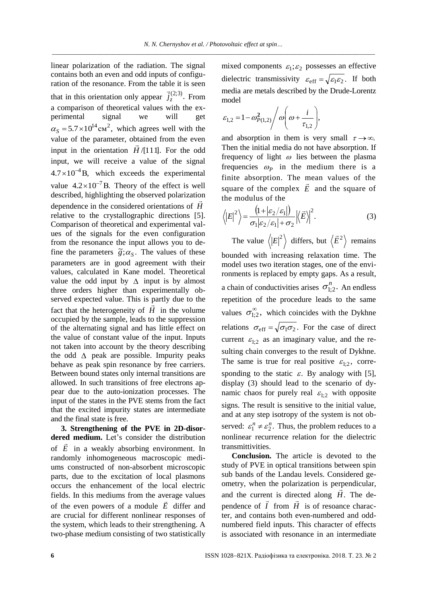linear polarization of the radiation. The signal contains both an even and odd inputs of configuration of the resonance. From the table it is seen that in this orientation only appear  $\vec{J}_z^{(2,3)}$ . *z j* Ļ From a comparison of theoretical values with the experimental signal we will get  $\alpha_s = 5.7 \times 10^{14} \text{cm}^2$ , which agrees well with the value of the parameter, obtained from the even input in the orientation  $\vec{H}$  /[111]. For the odd input, we will receive a value of the signal  $4.7 \times 10^{-4}$  B, which exceeds the experimental value  $4.2 \times 10^{-7}$  B. Theory of the effect is well described, highlighting the observed polarization dependence in the considered orientations of *H* relative to the crystallographic directions [5]. Comparison of theoretical and experimental values of the signals for the even configuration from the resonance the input allows you to define the parameters  $\tilde{g}$ ;  $\alpha_s$ . The values of these parameters are in good agreement with their values, calculated in Kane model. Theoretical value the odd input by  $\Delta$  input is by almost three orders higher than experimentally observed expected value. This is partly due to the fact that the heterogeneity of  $H$  in the volume occupied by the sample, leads to the suppression of the alternating signal and has little effect on the value of constant value of the input. Inputs not taken into account by the theory describing the odd  $\triangle$  peak are possible. Impurity peaks behave as peak spin resonance by free carriers. Between bound states only internal transitions are allowed. In such transitions of free electrons appear due to the auto-ionization processes. The input of the states in the PVE stems from the fact that the excited impurity states are intermediate and the final state is free.

**3. Strengthening of the PVE in 2D-disordered medium.** Let's consider the distribution of *E* in a weakly absorbing environment. In randomly inhomogeneous macroscopic mediums constructed of non-absorbent microscopic parts, due to the excitation of local plasmons occurs the enhancement of the local electric fields. In this mediums from the average values of the even powers of a module  $\vec{E}$  differ and are crucial for different nonlinear responses of the system, which leads to their strengthening. A two-phase medium consisting of two statistically

mixed components  $\varepsilon_1$ ;  $\varepsilon_2$  possesses an effective dielectric transmissivity  $\varepsilon_{eff} = \sqrt{\varepsilon_1 \varepsilon_2}$ . If both media are metals described by the Drude-Lorentz model

$$
\varepsilon_{1,2} = 1 - \omega_{P(1,2)}^2 / \omega \left( \omega + \frac{i}{\tau_{1,2}} \right),
$$

and absorption in them is very small  $\tau \rightarrow \infty$ . Then the initial media do not have absorption. If frequency of light  $\omega$  lies between the plasma frequencies  $\omega_P$  in the medium there is a finite absorption. The mean values of the square of the complex  $E$  and the square of the modulus of the

$$
\langle |E|^2 \rangle = \frac{\left(1 + |\varepsilon_2/\varepsilon_1|\right)}{\sigma_1 |\varepsilon_2/\varepsilon_1| + \sigma_2} \left| \langle E \rangle \right|^2. \tag{3}
$$

The value  $\langle |E|^2 \rangle$  differs, but  $\langle \vec{E}^2 \rangle$ remains bounded with increasing relaxation time. The model uses two iteration stages, one of the environments is replaced by empty gaps. As a result, a chain of conductivities arises  $\sigma_{1;2}^n$ . An endless repetition of the procedure leads to the same values  $\sigma_{1,2}^{\infty}$ , which coincides with the Dykhne relations  $\sigma_{\text{eff}} = \sqrt{\sigma_1 \sigma_2}$ . For the case of direct current  $\varepsilon_{1;2}$  as an imaginary value, and the resulting chain converges to the result of Dykhne. The same is true for real positive  $\varepsilon_{1;2}$ , corresponding to the static  $\varepsilon$ . By analogy with [5], display (3) should lead to the scenario of dynamic chaos for purely real  $\varepsilon_{1;2}$  with opposite signs. The result is sensitive to the initial value, and at any step isotropy of the system is not observed:  $\varepsilon_1^n \neq \varepsilon_2^n$ . Thus, the problem reduces to a nonlinear recurrence relation for the dielectric transmittivities.

**Conclusion.** The article is devoted to the study of PVE in optical transitions between spin sub bands of the Landau levels. Considered geometry, when the polarization is perpendicular, and the current is directed along *H*. The de pendence of  $\vec{l}$  from  $\vec{H}$  is of resoance character, and contains both even-numbered and oddnumbered field inputs. This character of effects is associated with resonance in an intermediate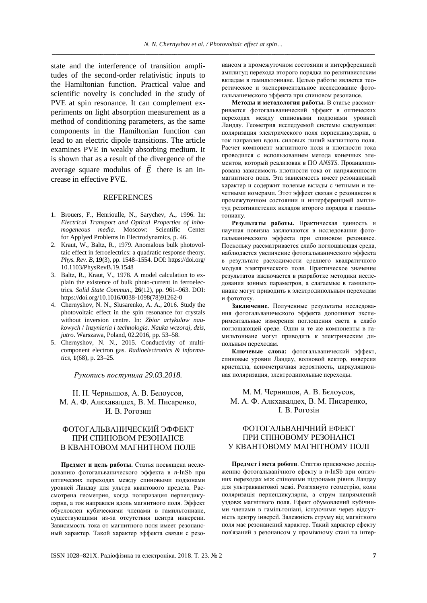state and the interference of transition amplitudes of the second-order relativistic inputs to the Hamiltonian function. Practical value and scientific novelty is concluded in the study of PVE at spin resonance. It can complement experiments on light absorption measurement as a method of conditioning parameters, as the same components in the Hamiltonian function can lead to an electric dipole transitions. The article examines PVE in weakly absorbing medium. It is shown that as a result of the divergence of the average square modulus of *E* there is an increase in effective PVE.

#### **REFERENCES**

- 1. Brouers, F., Henrioulle, N., Sarychev, A., 1996. In: *Electrical Transport and Optical Properties of inhomogeneous media*. Moscow: Scientific Center for Applyed Problems in Electrodynamics, p. 46.
- 2. Kraut, W., Baltz, R., 1979. Anomalous bulk photovoltaic effect in ferroelectrics: a quadratic response theory. *Phys. Rev. B*, **19**(3), pp. 1548–1554. DOI: https://doi.org/ 10.1103/PhysRevB.19.1548
- 3. Baltz, R., Kraut, V., 1978. A model calculation to explain the existence of bulk photo-current in ferroelectrics. *Solid State Commun*., **26**(12), pp. 961–963. DOI: [https://doi.org/10.1016/0038-1098\(78\)91262-0](https://doi.org/10.1016/0038-1098(78)91262-0)
- 4. Chernyshov, N. N., Slusarenko, A. A., 2016. Study the photovoltaic effect in the spin resonance for crystals without inversion centre. In: *Zbior artykulow naukowych* / *Inzynieria i technologia. Nauka wczoraj, dzis, jutro*. Warszawa, Poland, 02.2016, pp. 53–58.
- 5. Chernyshov, N. N., 2015. Conductivity of multicomponent electron gas. *Radioelectronics & informatics*, **1**(68), p. 23–25.

*Рукопись поступила 29.03.2018.*

#### Н. Н. Чернышов, А. В. Белоусов, М. А. Ф. Алкхавалдех, В. М. Писаренко, И. В. Рогозин

## ФОТОГАЛЬВАНИЧЕСКИЙ ЭФФЕКТ ПРИ СПИНОВОМ РЕЗОНАНСЕ В КВАНТОВОМ МАГНИТНОМ ПОЛЕ

**Предмет и цель работы.** Статья посвящена исследованию фотогальванического эффекта в *n*-InSb при оптических переходах между спиновыми подзонами уровней Ландау для ультра квантового предела. Рассмотрена геометрия, когда поляризация перпендикулярна, а ток направлен вдоль магнитного поля. Эффект обусловлен кубическими членами в гамильтониане, существующими из-за отсутствия центра инверсии. Зависимость тока от магнитного поля имеет резонансный характер. Такой характер эффекта связан с резо-

нансом в промежуточном состоянии и интерференцией амплитуд перехода второго порядка по релятивистским вкладам в гамильтониане. Целью работы является теоретическое и экспериментальное исследование фотогальванического эффекта при спиновом резонансе.

**Методы и методология работы.** В статье рассматривается фотогальванический эффект в оптических переходах между спиновыми подзонами уровней Ландау. Геометрия исследуемой системы следующая: поляризация электрического поля перпендикулярна, а ток направлен вдоль силовых линий магнитного поля. Расчет компонент магнитного поля и плотности тока проводился с использованием метода конечных элементов, который реализован в ПО *ANSYS*. Проанализирована зависимость плотности тока от напряженности магнитного поля. Эта зависимость имеет резонансный характер и содержит полевые вклады с четными и нечетными номерами. Этот эффект связан с резонансом в промежуточном состоянии и интерференцией амплитуд релятивистских вкладов второго порядка к гамильтониану.

**Результаты работы.** Практическая ценность и научная новизна заключаются в исследовании фотогальванического эффекта при спиновом резонансе. Поскольку рассматривается слабо поглощающая среда, наблюдается увеличение фотогальванического эффекта в результате расходимости среднего квадратичного модуля электрического поля. Практическое значение результатов заключается в разработке методики исследования зонных параметров, а слагаемые в гамильтониане могут приводить к электродипольным переходам и фототоку.

**Заключение.** Полученные результаты исследования фотогальванического эффекта дополняют экспериментальные измерения поглощения света в слабо поглощающей среде. Одни и те же компоненты в гамильтониане могут приводить к электрическим дипольным переходам.

**Ключевые слова:** фотогальванический эффект, спиновые уровни Ландау, волновой вектор, инверсия кристалла, асимметричная вероятность, циркуляционная поляризация, электродипольные переходы.

### М. М. Чернишов, А. В. Бєлоусов, М. А. Ф. Алкхавалдех, В. М. Писаренко, І. В. Рогозін

## ФОТОГАЛЬВАНІЧНИЙ ЕФЕКТ ПРИ СПІНОВОМУ РЕЗОНАНСІ У КВАНТОВОМУ МАГНІТНОМУ ПОЛІ

**Предмет і мета роботи**. Статтю присвячено дослідженню фотогальванічного ефекту в *n*-InSb при оптичних переходах між спіновими підзонами рівнів Ландау для ультраквантової межі. Розглянуто геометрію, коли поляризація перпендикулярна, а струм напрямлений уздовж магнітного поля. Ефект обумовлений кубічними членами в гамільтоніані, існуючими через відсутність центру інверсії. Залежність струму від магнітного поля має резонансний характер. Такий характер ефекту пов'язаний з резонансом у проміжному стані та інтер